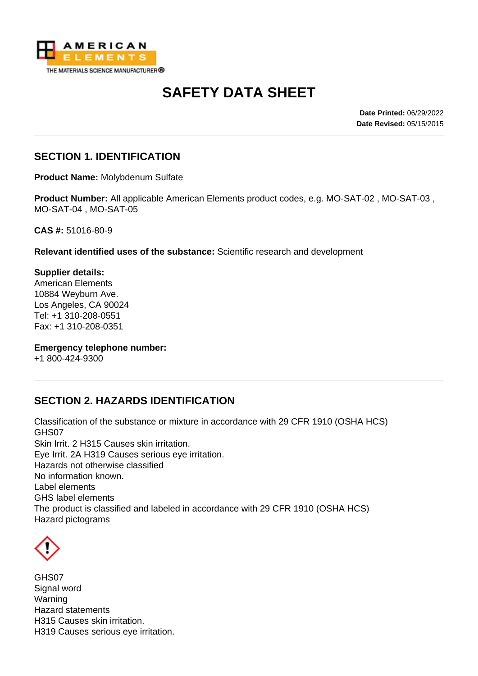

# **SAFETY DATA SHEET**

**Date Printed:** 06/29/2022 **Date Revised:** 05/15/2015

#### **SECTION 1. IDENTIFICATION**

**Product Name:** Molybdenum Sulfate

**Product Number:** All applicable American Elements product codes, e.g. MO-SAT-02 , MO-SAT-03 , MO-SAT-04 , MO-SAT-05

**CAS #:** 51016-80-9

**Relevant identified uses of the substance:** Scientific research and development

**Supplier details:** American Elements 10884 Weyburn Ave. Los Angeles, CA 90024 Tel: +1 310-208-0551 Fax: +1 310-208-0351

**Emergency telephone number:**

+1 800-424-9300

# **SECTION 2. HAZARDS IDENTIFICATION**

Classification of the substance or mixture in accordance with 29 CFR 1910 (OSHA HCS) GHS07 Skin Irrit. 2 H315 Causes skin irritation. Eye Irrit. 2A H319 Causes serious eye irritation. Hazards not otherwise classified No information known. Label elements GHS label elements The product is classified and labeled in accordance with 29 CFR 1910 (OSHA HCS) Hazard pictograms



GHS07 Signal word Warning Hazard statements H315 Causes skin irritation. H319 Causes serious eye irritation.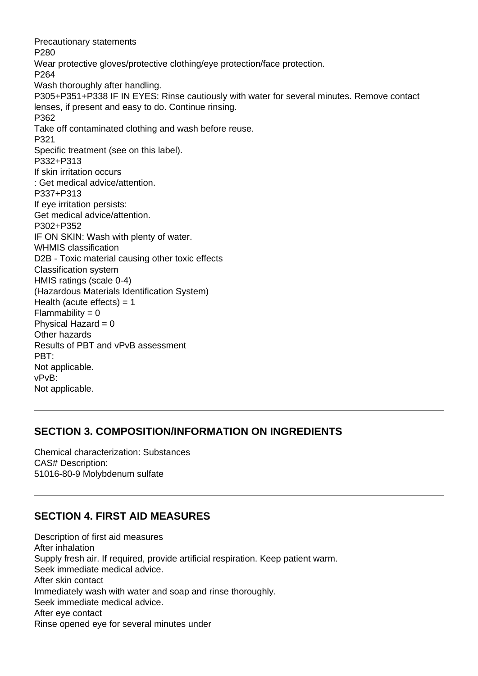Precautionary statements P280 Wear protective gloves/protective clothing/eye protection/face protection. P264 Wash thoroughly after handling. P305+P351+P338 IF IN EYES: Rinse cautiously with water for several minutes. Remove contact lenses, if present and easy to do. Continue rinsing. P362 Take off contaminated clothing and wash before reuse. P321 Specific treatment (see on this label). P332+P313 If skin irritation occurs : Get medical advice/attention. P337+P313 If eye irritation persists: Get medical advice/attention. P302+P352 IF ON SKIN: Wash with plenty of water. WHMIS classification D2B - Toxic material causing other toxic effects Classification system HMIS ratings (scale 0-4) (Hazardous Materials Identification System) Health (acute effects)  $= 1$  $Flammability = 0$ Physical Hazard  $= 0$ Other hazards Results of PBT and vPvB assessment PBT: Not applicable. vPvB: Not applicable.

#### **SECTION 3. COMPOSITION/INFORMATION ON INGREDIENTS**

Chemical characterization: Substances CAS# Description: 51016-80-9 Molybdenum sulfate

# **SECTION 4. FIRST AID MEASURES**

Description of first aid measures After inhalation Supply fresh air. If required, provide artificial respiration. Keep patient warm. Seek immediate medical advice. After skin contact Immediately wash with water and soap and rinse thoroughly. Seek immediate medical advice. After eye contact Rinse opened eye for several minutes under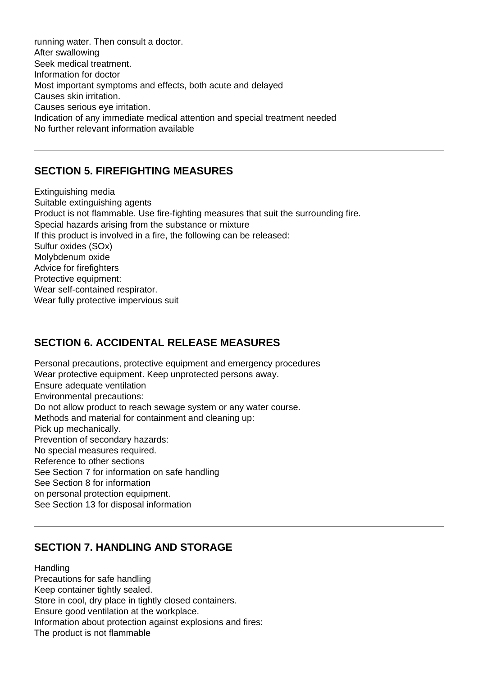running water. Then consult a doctor. After swallowing Seek medical treatment. Information for doctor Most important symptoms and effects, both acute and delayed Causes skin irritation. Causes serious eye irritation. Indication of any immediate medical attention and special treatment needed No further relevant information available

#### **SECTION 5. FIREFIGHTING MEASURES**

Extinguishing media Suitable extinguishing agents Product is not flammable. Use fire-fighting measures that suit the surrounding fire. Special hazards arising from the substance or mixture If this product is involved in a fire, the following can be released: Sulfur oxides (SOx) Molybdenum oxide Advice for firefighters Protective equipment: Wear self-contained respirator. Wear fully protective impervious suit

# **SECTION 6. ACCIDENTAL RELEASE MEASURES**

Personal precautions, protective equipment and emergency procedures Wear protective equipment. Keep unprotected persons away. Ensure adequate ventilation Environmental precautions: Do not allow product to reach sewage system or any water course. Methods and material for containment and cleaning up: Pick up mechanically. Prevention of secondary hazards: No special measures required. Reference to other sections See Section 7 for information on safe handling See Section 8 for information on personal protection equipment.

See Section 13 for disposal information

# **SECTION 7. HANDLING AND STORAGE**

**Handling** Precautions for safe handling Keep container tightly sealed. Store in cool, dry place in tightly closed containers. Ensure good ventilation at the workplace. Information about protection against explosions and fires: The product is not flammable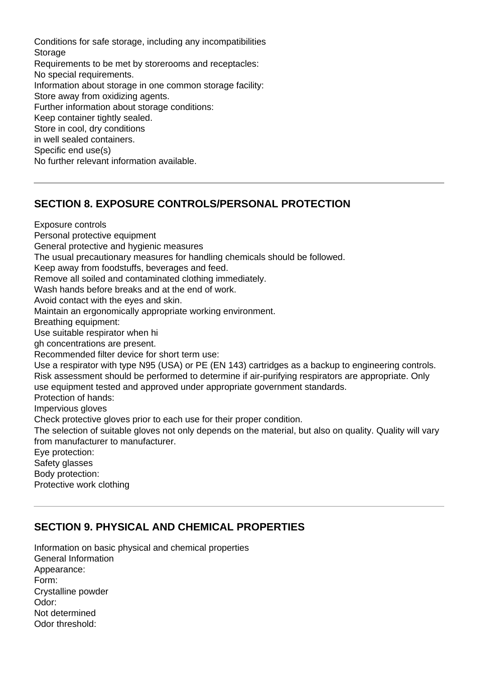Conditions for safe storage, including any incompatibilities **Storage** Requirements to be met by storerooms and receptacles: No special requirements. Information about storage in one common storage facility: Store away from oxidizing agents. Further information about storage conditions: Keep container tightly sealed. Store in cool, dry conditions in well sealed containers. Specific end use(s) No further relevant information available.

#### **SECTION 8. EXPOSURE CONTROLS/PERSONAL PROTECTION**

Exposure controls Personal protective equipment General protective and hygienic measures The usual precautionary measures for handling chemicals should be followed. Keep away from foodstuffs, beverages and feed. Remove all soiled and contaminated clothing immediately. Wash hands before breaks and at the end of work. Avoid contact with the eyes and skin. Maintain an ergonomically appropriate working environment. Breathing equipment: Use suitable respirator when hi gh concentrations are present. Recommended filter device for short term use: Use a respirator with type N95 (USA) or PE (EN 143) cartridges as a backup to engineering controls. Risk assessment should be performed to determine if air-purifying respirators are appropriate. Only use equipment tested and approved under appropriate government standards. Protection of hands: Impervious gloves Check protective gloves prior to each use for their proper condition. The selection of suitable gloves not only depends on the material, but also on quality. Quality will vary from manufacturer to manufacturer. Eye protection: Safety glasses Body protection: Protective work clothing

# **SECTION 9. PHYSICAL AND CHEMICAL PROPERTIES**

Information on basic physical and chemical properties General Information Appearance: Form: Crystalline powder Odor: Not determined Odor threshold: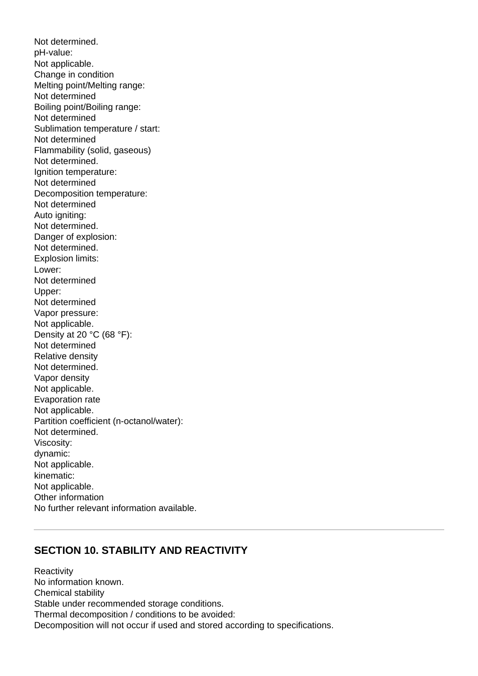Not determined. pH-value: Not applicable. Change in condition Melting point/Melting range: Not determined Boiling point/Boiling range: Not determined Sublimation temperature / start: Not determined Flammability (solid, gaseous) Not determined. Ignition temperature: Not determined Decomposition temperature: Not determined Auto igniting: Not determined. Danger of explosion: Not determined. Explosion limits: Lower: Not determined Upper: Not determined Vapor pressure: Not applicable. Density at 20 °C (68 °F): Not determined Relative density Not determined. Vapor density Not applicable. Evaporation rate Not applicable. Partition coefficient (n-octanol/water): Not determined. Viscosity: dynamic: Not applicable. kinematic: Not applicable. Other information No further relevant information available.

#### **SECTION 10. STABILITY AND REACTIVITY**

**Reactivity** No information known. Chemical stability Stable under recommended storage conditions. Thermal decomposition / conditions to be avoided: Decomposition will not occur if used and stored according to specifications.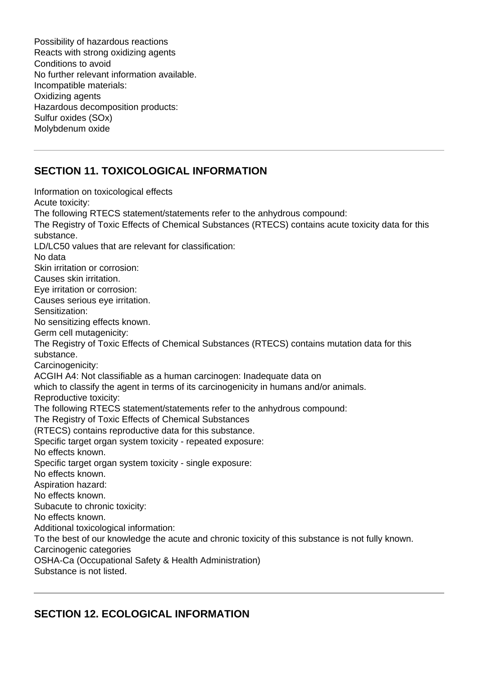Possibility of hazardous reactions Reacts with strong oxidizing agents Conditions to avoid No further relevant information available. Incompatible materials: Oxidizing agents Hazardous decomposition products: Sulfur oxides (SOx) Molybdenum oxide

# **SECTION 11. TOXICOLOGICAL INFORMATION**

Information on toxicological effects Acute toxicity: The following RTECS statement/statements refer to the anhydrous compound: The Registry of Toxic Effects of Chemical Substances (RTECS) contains acute toxicity data for this substance. LD/LC50 values that are relevant for classification: No data Skin irritation or corrosion: Causes skin irritation. Eye irritation or corrosion: Causes serious eye irritation. Sensitization: No sensitizing effects known. Germ cell mutagenicity: The Registry of Toxic Effects of Chemical Substances (RTECS) contains mutation data for this substance. Carcinogenicity: ACGIH A4: Not classifiable as a human carcinogen: Inadequate data on which to classify the agent in terms of its carcinogenicity in humans and/or animals. Reproductive toxicity: The following RTECS statement/statements refer to the anhydrous compound: The Registry of Toxic Effects of Chemical Substances (RTECS) contains reproductive data for this substance. Specific target organ system toxicity - repeated exposure: No effects known. Specific target organ system toxicity - single exposure: No effects known. Aspiration hazard: No effects known. Subacute to chronic toxicity: No effects known. Additional toxicological information: To the best of our knowledge the acute and chronic toxicity of this substance is not fully known. Carcinogenic categories OSHA-Ca (Occupational Safety & Health Administration) Substance is not listed.

# **SECTION 12. ECOLOGICAL INFORMATION**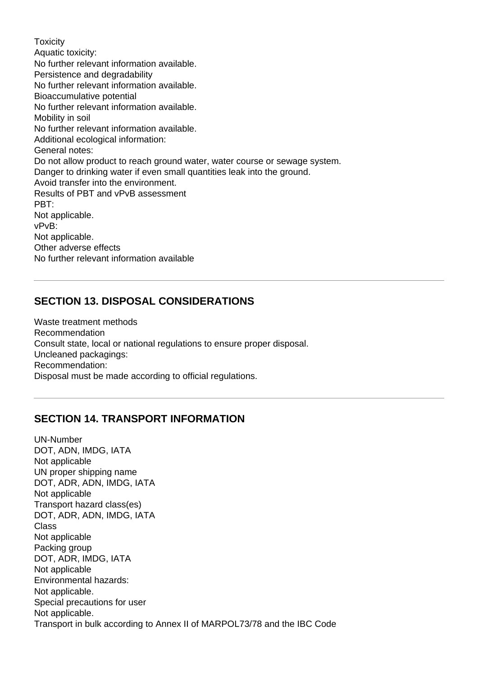**Toxicity** Aquatic toxicity: No further relevant information available. Persistence and degradability No further relevant information available. Bioaccumulative potential No further relevant information available. Mobility in soil No further relevant information available. Additional ecological information: General notes: Do not allow product to reach ground water, water course or sewage system. Danger to drinking water if even small quantities leak into the ground. Avoid transfer into the environment. Results of PBT and vPvB assessment PBT: Not applicable. vPvB: Not applicable. Other adverse effects No further relevant information available

#### **SECTION 13. DISPOSAL CONSIDERATIONS**

Waste treatment methods Recommendation Consult state, local or national regulations to ensure proper disposal. Uncleaned packagings: Recommendation: Disposal must be made according to official regulations.

# **SECTION 14. TRANSPORT INFORMATION**

UN-Number DOT, ADN, IMDG, IATA Not applicable UN proper shipping name DOT, ADR, ADN, IMDG, IATA Not applicable Transport hazard class(es) DOT, ADR, ADN, IMDG, IATA Class Not applicable Packing group DOT, ADR, IMDG, IATA Not applicable Environmental hazards: Not applicable. Special precautions for user Not applicable. Transport in bulk according to Annex II of MARPOL73/78 and the IBC Code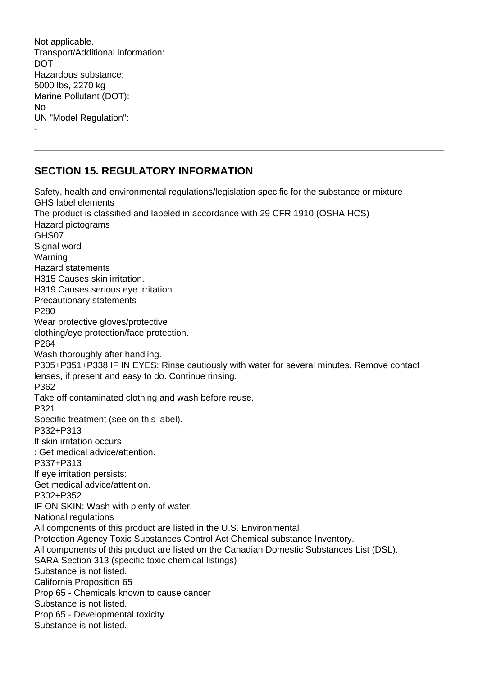Not applicable. Transport/Additional information: DOT Hazardous substance: 5000 lbs, 2270 kg Marine Pollutant (DOT): No UN "Model Regulation": -

#### **SECTION 15. REGULATORY INFORMATION**

Safety, health and environmental regulations/legislation specific for the substance or mixture GHS label elements The product is classified and labeled in accordance with 29 CFR 1910 (OSHA HCS) Hazard pictograms GHS07 Signal word Warning Hazard statements H315 Causes skin irritation. H319 Causes serious eye irritation. Precautionary statements P280 Wear protective gloves/protective clothing/eye protection/face protection. P264 Wash thoroughly after handling. P305+P351+P338 IF IN EYES: Rinse cautiously with water for several minutes. Remove contact lenses, if present and easy to do. Continue rinsing. P362 Take off contaminated clothing and wash before reuse. P321 Specific treatment (see on this label). P332+P313 If skin irritation occurs : Get medical advice/attention. P337+P313 If eye irritation persists: Get medical advice/attention. P302+P352 IF ON SKIN: Wash with plenty of water. National regulations All components of this product are listed in the U.S. Environmental Protection Agency Toxic Substances Control Act Chemical substance Inventory. All components of this product are listed on the Canadian Domestic Substances List (DSL). SARA Section 313 (specific toxic chemical listings) Substance is not listed. California Proposition 65 Prop 65 - Chemicals known to cause cancer Substance is not listed. Prop 65 - Developmental toxicity Substance is not listed.